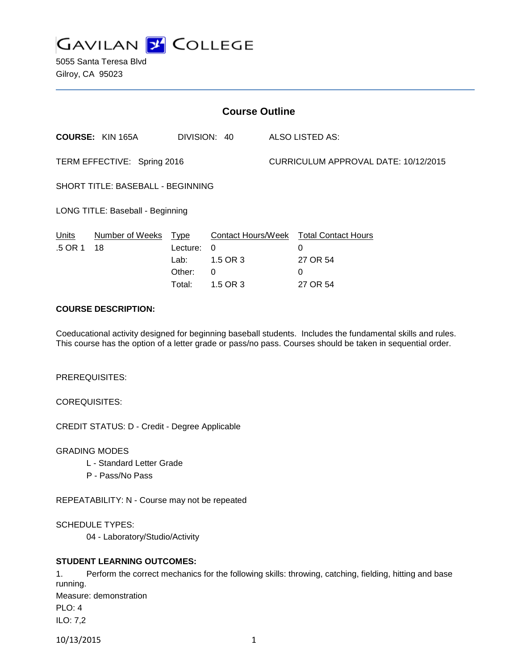

5055 Santa Teresa Blvd Gilroy, CA 95023

| <b>Course Outline</b>             |                            |                                      |                                       |                                      |                                                                                 |
|-----------------------------------|----------------------------|--------------------------------------|---------------------------------------|--------------------------------------|---------------------------------------------------------------------------------|
|                                   | <b>COURSE: KIN 165A</b>    | DIVISION: 40                         |                                       | <b>ALSO LISTED AS:</b>               |                                                                                 |
| TERM EFFECTIVE: Spring 2016       |                            |                                      |                                       | CURRICULUM APPROVAL DATE: 10/12/2015 |                                                                                 |
| SHORT TITLE: BASEBALL - BEGINNING |                            |                                      |                                       |                                      |                                                                                 |
| LONG TITLE: Baseball - Beginning  |                            |                                      |                                       |                                      |                                                                                 |
| <b>Units</b><br>.5 OR 1           | Number of Weeks Type<br>18 | Lecture:<br>Lab:<br>Other:<br>Total: | $\Omega$<br>1.5 OR 3<br>0<br>1.5 OR 3 |                                      | Contact Hours/Week Total Contact Hours<br>$\Omega$<br>27 OR 54<br>0<br>27 OR 54 |

# **COURSE DESCRIPTION:**

Coeducational activity designed for beginning baseball students. Includes the fundamental skills and rules. This course has the option of a letter grade or pass/no pass. Courses should be taken in sequential order.

PREREQUISITES:

COREQUISITES:

CREDIT STATUS: D - Credit - Degree Applicable

GRADING MODES

- L Standard Letter Grade
- P Pass/No Pass

REPEATABILITY: N - Course may not be repeated

SCHEDULE TYPES:

04 - Laboratory/Studio/Activity

## **STUDENT LEARNING OUTCOMES:**

1. Perform the correct mechanics for the following skills: throwing, catching, fielding, hitting and base running. Measure: demonstration PLO: 4 ILO: 7,2

10/13/2015 1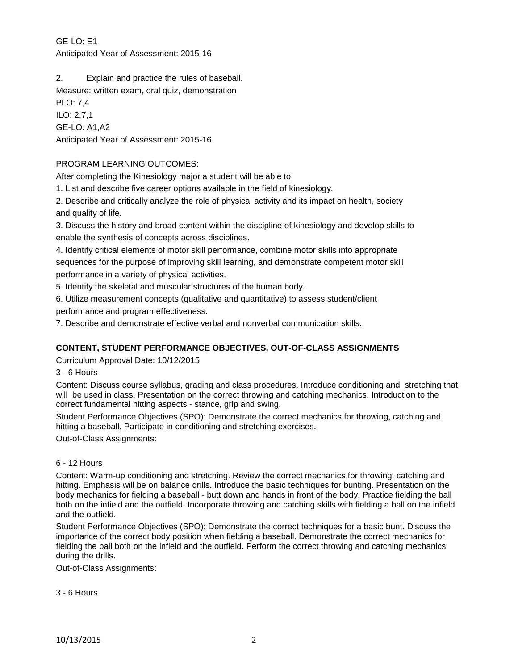# GE-LO: E1 Anticipated Year of Assessment: 2015-16

2. Explain and practice the rules of baseball.

Measure: written exam, oral quiz, demonstration

PLO: 7,4 ILO: 2,7,1 GE-LO: A1,A2 Anticipated Year of Assessment: 2015-16

# PROGRAM LEARNING OUTCOMES:

After completing the Kinesiology major a student will be able to:

1. List and describe five career options available in the field of kinesiology.

2. Describe and critically analyze the role of physical activity and its impact on health, society and quality of life.

3. Discuss the history and broad content within the discipline of kinesiology and develop skills to enable the synthesis of concepts across disciplines.

4. Identify critical elements of motor skill performance, combine motor skills into appropriate sequences for the purpose of improving skill learning, and demonstrate competent motor skill performance in a variety of physical activities.

5. Identify the skeletal and muscular structures of the human body.

6. Utilize measurement concepts (qualitative and quantitative) to assess student/client performance and program effectiveness.

7. Describe and demonstrate effective verbal and nonverbal communication skills.

# **CONTENT, STUDENT PERFORMANCE OBJECTIVES, OUT-OF-CLASS ASSIGNMENTS**

Curriculum Approval Date: 10/12/2015

3 - 6 Hours

Content: Discuss course syllabus, grading and class procedures. Introduce conditioning and stretching that will be used in class. Presentation on the correct throwing and catching mechanics. Introduction to the correct fundamental hitting aspects - stance, grip and swing.

Student Performance Objectives (SPO): Demonstrate the correct mechanics for throwing, catching and hitting a baseball. Participate in conditioning and stretching exercises.

Out-of-Class Assignments:

## 6 - 12 Hours

Content: Warm-up conditioning and stretching. Review the correct mechanics for throwing, catching and hitting. Emphasis will be on balance drills. Introduce the basic techniques for bunting. Presentation on the body mechanics for fielding a baseball - butt down and hands in front of the body. Practice fielding the ball both on the infield and the outfield. Incorporate throwing and catching skills with fielding a ball on the infield and the outfield.

Student Performance Objectives (SPO): Demonstrate the correct techniques for a basic bunt. Discuss the importance of the correct body position when fielding a baseball. Demonstrate the correct mechanics for fielding the ball both on the infield and the outfield. Perform the correct throwing and catching mechanics during the drills.

Out-of-Class Assignments:

3 - 6 Hours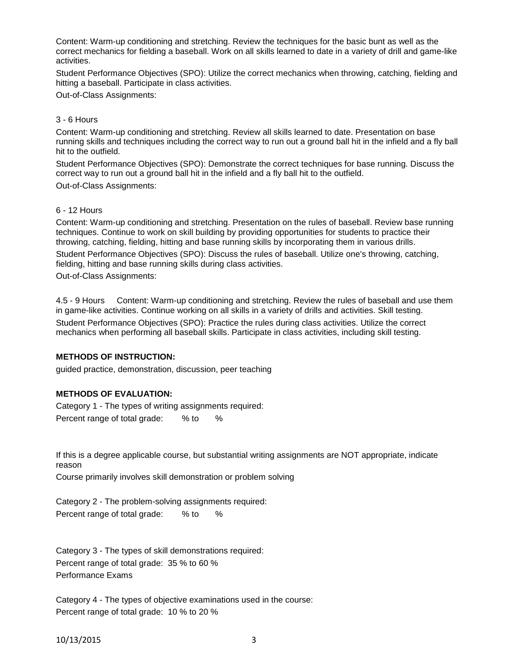Content: Warm-up conditioning and stretching. Review the techniques for the basic bunt as well as the correct mechanics for fielding a baseball. Work on all skills learned to date in a variety of drill and game-like activities.

Student Performance Objectives (SPO): Utilize the correct mechanics when throwing, catching, fielding and hitting a baseball. Participate in class activities.

Out-of-Class Assignments:

### 3 - 6 Hours

Content: Warm-up conditioning and stretching. Review all skills learned to date. Presentation on base running skills and techniques including the correct way to run out a ground ball hit in the infield and a fly ball hit to the outfield.

Student Performance Objectives (SPO): Demonstrate the correct techniques for base running. Discuss the correct way to run out a ground ball hit in the infield and a fly ball hit to the outfield.

Out-of-Class Assignments:

### 6 - 12 Hours

Content: Warm-up conditioning and stretching. Presentation on the rules of baseball. Review base running techniques. Continue to work on skill building by providing opportunities for students to practice their throwing, catching, fielding, hitting and base running skills by incorporating them in various drills. Student Performance Objectives (SPO): Discuss the rules of baseball. Utilize one's throwing, catching, fielding, hitting and base running skills during class activities.

Out-of-Class Assignments:

4.5 - 9 Hours Content: Warm-up conditioning and stretching. Review the rules of baseball and use them in game-like activities. Continue working on all skills in a variety of drills and activities. Skill testing. Student Performance Objectives (SPO): Practice the rules during class activities. Utilize the correct mechanics when performing all baseball skills. Participate in class activities, including skill testing.

## **METHODS OF INSTRUCTION:**

guided practice, demonstration, discussion, peer teaching

## **METHODS OF EVALUATION:**

Category 1 - The types of writing assignments required: Percent range of total grade: % to %

If this is a degree applicable course, but substantial writing assignments are NOT appropriate, indicate reason

Course primarily involves skill demonstration or problem solving

Category 2 - The problem-solving assignments required: Percent range of total grade: % to %

Category 3 - The types of skill demonstrations required: Percent range of total grade: 35 % to 60 % Performance Exams

Category 4 - The types of objective examinations used in the course: Percent range of total grade: 10 % to 20 %